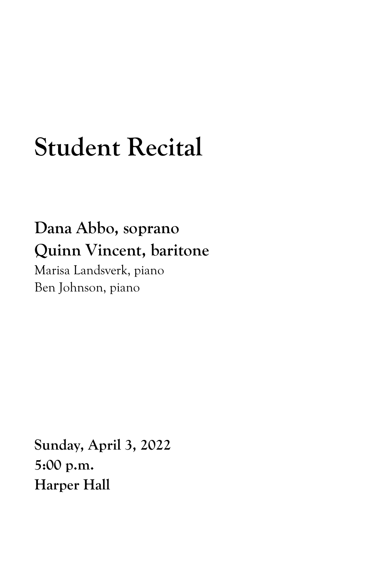## **Student Recital**

## **Dana Abbo, soprano Quinn Vincent, baritone**

Marisa Landsverk, piano Ben Johnson, piano

**Sunday, April 3, 2022 5:00 p.m. Harper Hall**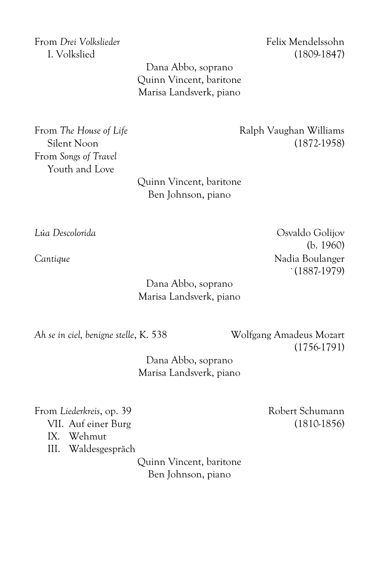From *Drei Volkslieder* Felix Mendelssohn

I. Volkslied (1809-1847)

Dana Abbo, soprano Quinn Vincent, baritone Marisa Landsverk, piano

From *Songs of Travel* Youth and Love

> Quinn Vincent, baritone Ben Johnson, piano

Dana Abbo, soprano Marisa Landsverk, piano

*Ah se in ciel, benigne stelle*, K. 538 Wolfgang Amadeus Mozart (1756-1791)

> Dana Abbo, soprano Marisa Landsverk, piano

From *Liederkreis*, op. 39 Robert Schumann VII. Auf einer Burg (1810-1856) IX. Wehmut III. Waldesgespräch

> Quinn Vincent, baritone Ben Johnson, piano

Silent Noon (1872-1958)

*Lúa Descolorida* Osvaldo Golijov (b. 1960) Cantique **Cantique** Nadia Boulanger `(1887-1979)

From *The House of Life* **Example 2** Ralph Vaughan Williams